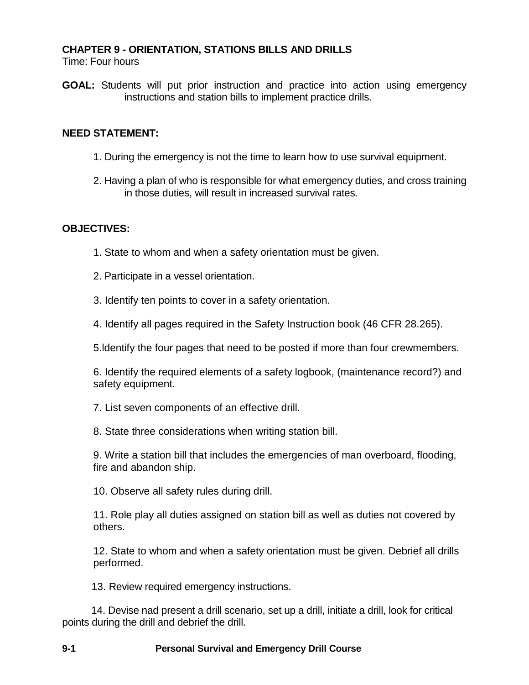## **CHAPTER 9 - ORIENTATION, STATIONS BILLS AND DRILLS**

Time: Four hours

**GOAL:** Students will put prior instruction and practice into action using emergency instructions and station bills to implement practice drills.

### **NEED STATEMENT:**

- 1. During the emergency is not the time to learn how to use survival equipment.
- 2. Having a plan of who is responsible for what emergency duties, and cross training in those duties, will result in increased survival rates.

## **OBJECTIVES:**

- 1. State to whom and when a safety orientation must be given.
- 2. Participate in a vessel orientation.
- 3. Identify ten points to cover in a safety orientation.
- 4. Identify all pages required in the Safety Instruction book (46 CFR 28.265).
- 5.ldentify the four pages that need to be posted if more than four crewmembers.

6. Identify the required elements of a safety logbook, (maintenance record?) and safety equipment.

7. List seven components of an effective drill.

8. State three considerations when writing station bill.

9. Write a station bill that includes the emergencies of man overboard, flooding, fire and abandon ship.

10. Observe all safety rules during drill.

11. Role play all duties assigned on station bill as well as duties not covered by others.

12. State to whom and when a safety orientation must be given. Debrief all drills performed.

13. Review required emergency instructions.

14. Devise nad present a drill scenario, set up a drill, initiate a drill, look for critical points during the drill and debrief the drill.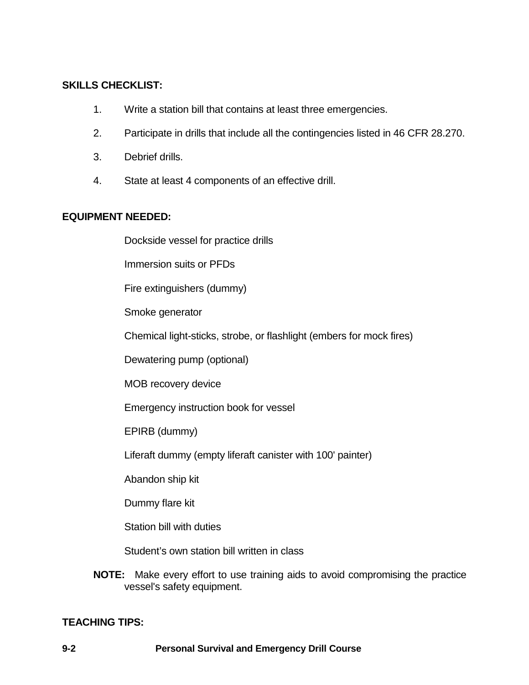## **SKILLS CHECKLIST:**

- 1. Write a station bill that contains at least three emergencies.
- 2. Participate in drills that include all the contingencies listed in 46 CFR 28.270.
- 3. Debrief drills.
- 4. State at least 4 components of an effective drill.

## **EQUIPMENT NEEDED:**

Dockside vessel for practice drills

Immersion suits or PFDs

Fire extinguishers (dummy)

Smoke generator

Chemical light-sticks, strobe, or flashlight (embers for mock fires)

Dewatering pump (optional)

MOB recovery device

Emergency instruction book for vessel

EPIRB (dummy)

Liferaft dummy (empty liferaft canister with 100' painter)

Abandon ship kit

Dummy flare kit

Station bill with duties

Student's own station bill written in class

**NOTE:** Make every effort to use training aids to avoid compromising the practice vessel's safety equipment.

## **TEACHING TIPS:**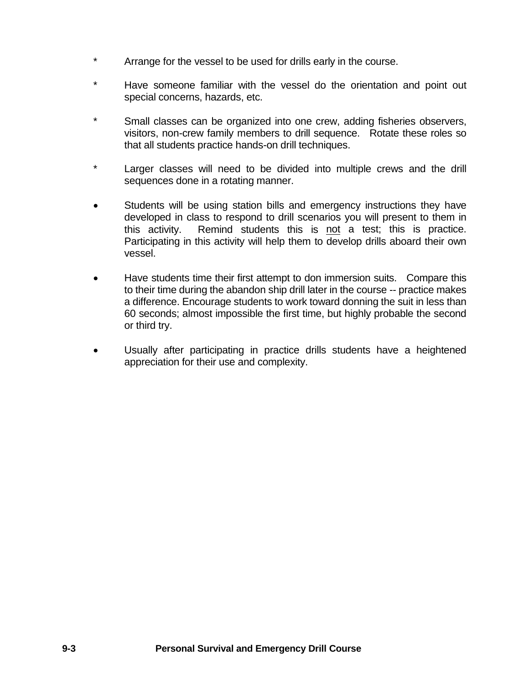- Arrange for the vessel to be used for drills early in the course.
- \* Have someone familiar with the vessel do the orientation and point out special concerns, hazards, etc.
- \* Small classes can be organized into one crew, adding fisheries observers, visitors, non-crew family members to drill sequence. Rotate these roles so that all students practice hands-on drill techniques.
- \* Larger classes will need to be divided into multiple crews and the drill sequences done in a rotating manner.
- Students will be using station bills and emergency instructions they have developed in class to respond to drill scenarios you will present to them in this activity. Remind students this is not a test; this is practice. Participating in this activity will help them to develop drills aboard their own vessel.
- Have students time their first attempt to don immersion suits. Compare this to their time during the abandon ship drill later in the course -- practice makes a difference. Encourage students to work toward donning the suit in less than 60 seconds; almost impossible the first time, but highly probable the second or third try.
- Usually after participating in practice drills students have a heightened appreciation for their use and complexity.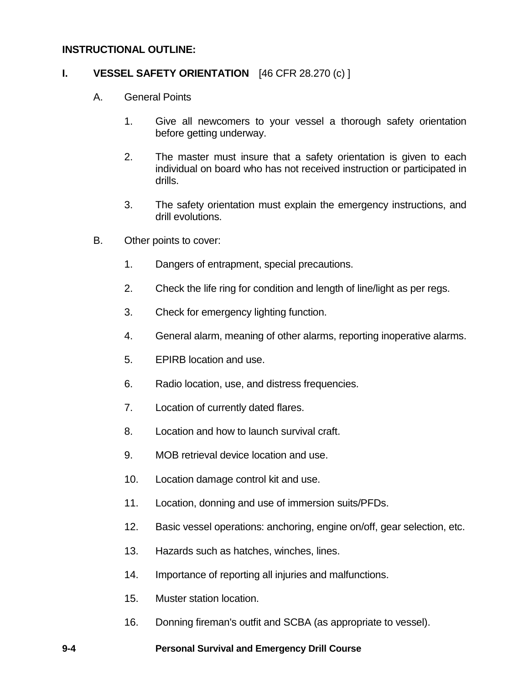### **INSTRUCTIONAL OUTLINE:**

### **I. VESSEL SAFETY ORIENTATION** [46 CFR 28.270 (c) ]

- A. General Points
	- 1. Give all newcomers to your vessel a thorough safety orientation before getting underway.
	- 2. The master must insure that a safety orientation is given to each individual on board who has not received instruction or participated in drills.
	- 3. The safety orientation must explain the emergency instructions, and drill evolutions.
- B. Other points to cover:
	- 1. Dangers of entrapment, special precautions.
	- 2. Check the life ring for condition and length of line/light as per regs.
	- 3. Check for emergency lighting function.
	- 4. General alarm, meaning of other alarms, reporting inoperative alarms.
	- 5. EPIRB location and use.
	- 6. Radio location, use, and distress frequencies.
	- 7. Location of currently dated flares.
	- 8. Location and how to launch survival craft.
	- 9. MOB retrieval device location and use.
	- 10. Location damage control kit and use.
	- 11. Location, donning and use of immersion suits/PFDs.
	- 12. Basic vessel operations: anchoring, engine on/off, gear selection, etc.
	- 13. Hazards such as hatches, winches, lines.
	- 14. Importance of reporting all injuries and malfunctions.
	- 15. Muster station location.
	- 16. Donning fireman's outfit and SCBA (as appropriate to vessel).

#### **9-4 Personal Survival and Emergency Drill Course**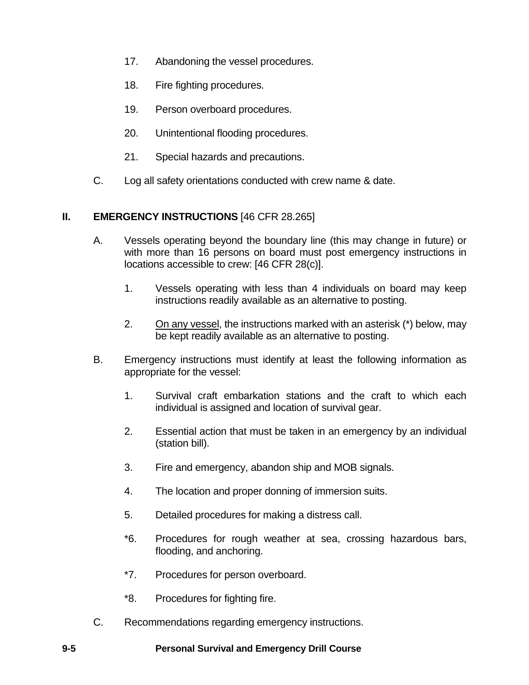- 17. Abandoning the vessel procedures.
- 18. Fire fighting procedures.
- 19. Person overboard procedures.
- 20. Unintentional flooding procedures.
- 21. Special hazards and precautions.
- C. Log all safety orientations conducted with crew name & date.

# **II. EMERGENCY INSTRUCTIONS** [46 CFR 28.265]

- A. Vessels operating beyond the boundary line (this may change in future) or with more than 16 persons on board must post emergency instructions in locations accessible to crew: [46 CFR 28(c)].
	- 1. Vessels operating with less than 4 individuals on board may keep instructions readily available as an alternative to posting.
	- 2. On any vessel, the instructions marked with an asterisk (\*) below, may be kept readily available as an alternative to posting.
- B. Emergency instructions must identify at least the following information as appropriate for the vessel:
	- 1. Survival craft embarkation stations and the craft to which each individual is assigned and location of survival gear.
	- 2. Essential action that must be taken in an emergency by an individual (station bill).
	- 3. Fire and emergency, abandon ship and MOB signals.
	- 4. The location and proper donning of immersion suits.
	- 5. Detailed procedures for making a distress call.
	- \*6. Procedures for rough weather at sea, crossing hazardous bars, flooding, and anchoring.
	- \*7. Procedures for person overboard.
	- \*8. Procedures for fighting fire.
- C. Recommendations regarding emergency instructions.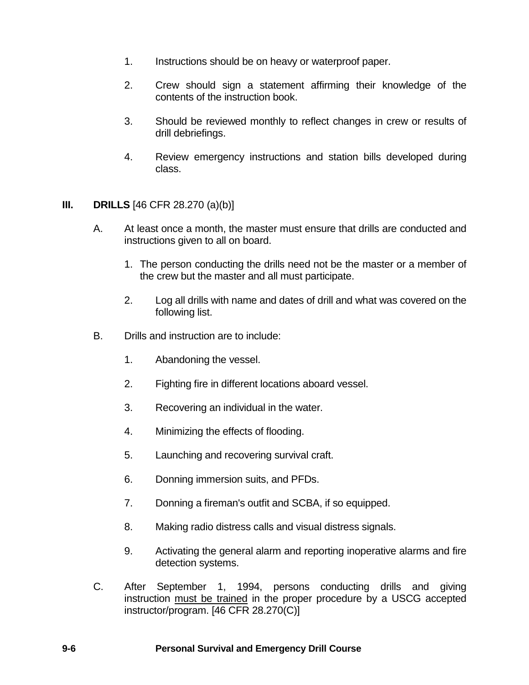- 1. Instructions should be on heavy or waterproof paper.
- 2. Crew should sign a statement affirming their knowledge of the contents of the instruction book.
- 3. Should be reviewed monthly to reflect changes in crew or results of drill debriefings.
- 4. Review emergency instructions and station bills developed during class.

## **III. DRILLS** [46 CFR 28.270 (a)(b)]

- A. At least once a month, the master must ensure that drills are conducted and instructions given to all on board.
	- 1. The person conducting the drills need not be the master or a member of the crew but the master and all must participate.
	- 2. Log all drills with name and dates of drill and what was covered on the following list.
- B. Drills and instruction are to include:
	- 1. Abandoning the vessel.
	- 2. Fighting fire in different locations aboard vessel.
	- 3. Recovering an individual in the water.
	- 4. Minimizing the effects of flooding.
	- 5. Launching and recovering survival craft.
	- 6. Donning immersion suits, and PFDs.
	- 7. Donning a fireman's outfit and SCBA, if so equipped.
	- 8. Making radio distress calls and visual distress signals.
	- 9. Activating the general alarm and reporting inoperative alarms and fire detection systems.
- C. After September 1, 1994, persons conducting drills and giving instruction must be trained in the proper procedure by a USCG accepted instructor/program. [46 CFR 28.270(C)]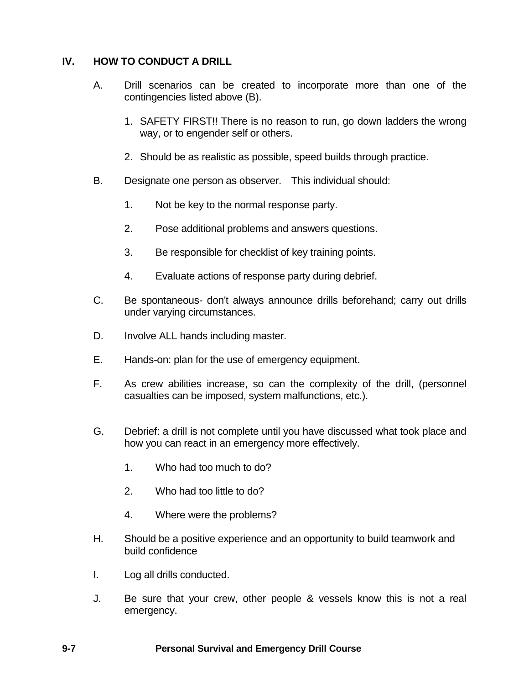# **IV. HOW TO CONDUCT A DRILL**

- A. Drill scenarios can be created to incorporate more than one of the contingencies listed above (B).
	- 1. SAFETY FIRST!! There is no reason to run, go down ladders the wrong way, or to engender self or others.
	- 2. Should be as realistic as possible, speed builds through practice.
- B. Designate one person as observer. This individual should:
	- 1. Not be key to the normal response party.
	- 2. Pose additional problems and answers questions.
	- 3. Be responsible for checklist of key training points.
	- 4. Evaluate actions of response party during debrief.
- C. Be spontaneous- don't always announce drills beforehand; carry out drills under varying circumstances.
- D. Involve ALL hands including master.
- E. Hands-on: plan for the use of emergency equipment.
- F. As crew abilities increase, so can the complexity of the drill, (personnel casualties can be imposed, system malfunctions, etc.).
- G. Debrief: a drill is not complete until you have discussed what took place and how you can react in an emergency more effectively.
	- 1. Who had too much to do?
	- 2. Who had too little to do?
	- 4. Where were the problems?
- H. Should be a positive experience and an opportunity to build teamwork and build confidence
- I. Log all drills conducted.
- J. Be sure that your crew, other people & vessels know this is not a real emergency.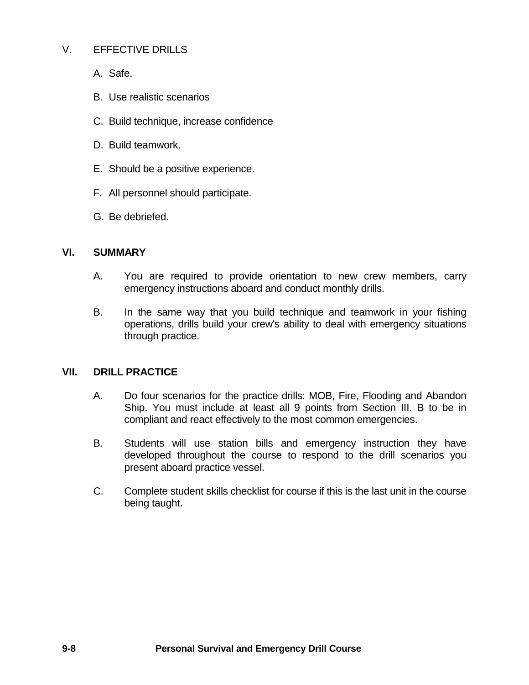## V. EFFECTIVE DRILLS

A. Safe.

- B. Use realistic scenarios
- C. Build technique, increase confidence
- D. Build teamwork.
- E. Should be a positive experience.
- F. All personnel should participate.
- G. Be debriefed.

## **VI. SUMMARY**

- A. You are required to provide orientation to new crew members, carry emergency instructions aboard and conduct monthly drills.
- B. In the same way that you build technique and teamwork in your fishing operations, drills build your crew's ability to deal with emergency situations through practice.

## **VII. DRILL PRACTICE**

- A. Do four scenarios for the practice drills: MOB, Fire, Flooding and Abandon Ship. You must include at least all 9 points from Section III. B to be in compliant and react effectively to the most common emergencies.
- B. Students will use station bills and emergency instruction they have developed throughout the course to respond to the drill scenarios you present aboard practice vessel.
- C. Complete student skills checklist for course if this is the last unit in the course being taught.